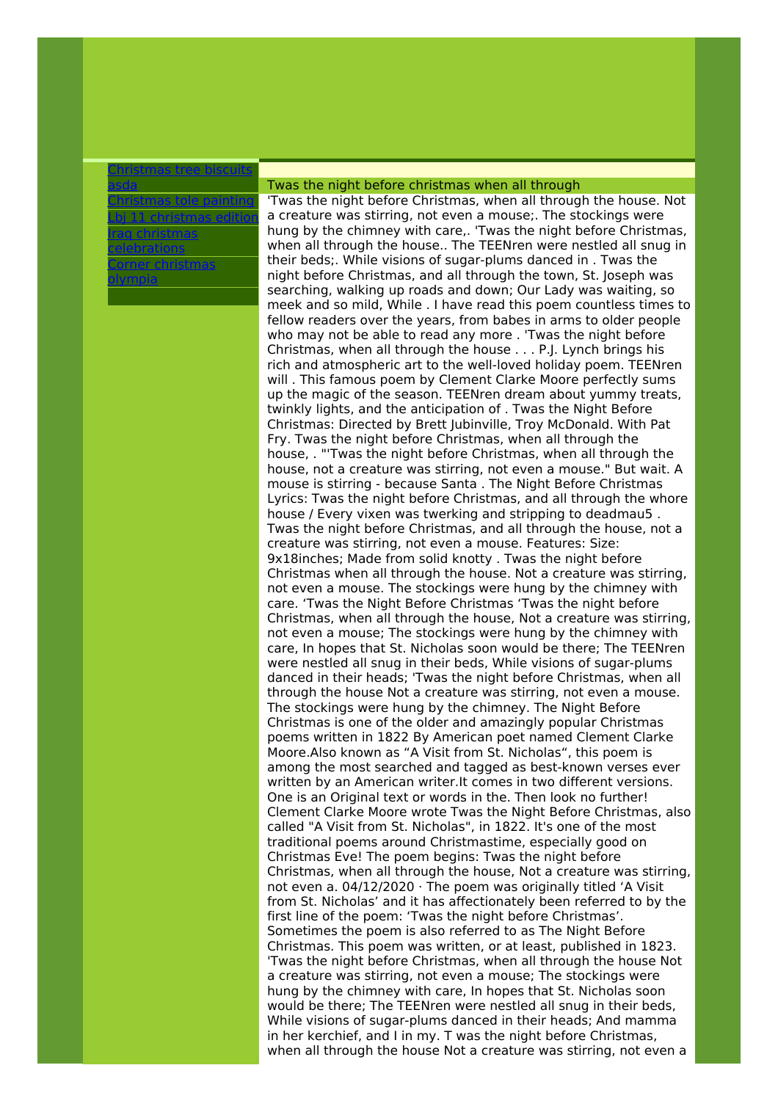## [Christmas](http://foto-ms.pl/detail/news/654078/chrismas/) tree biscuits asda

[Christmas](http://foto-ms.pl/detail/news/056221/chrismas/) tole painting Lbj 11 [christmas](http://foto-ms.pl/detail/news/128545/chrismas/) edition Iraq christmas [celebrations](http://foto-ms.pl/detail/news/782727/chrismas/) Corner [christmas](http://foto-ms.pl/detail/news/259747/chrismas/) olympia

## Twas the night before christmas when all through

'Twas the night before Christmas, when all through the house. Not a creature was stirring, not even a mouse;. The stockings were hung by the chimney with care,. 'Twas the night before Christmas, when all through the house.. The TEENren were nestled all snug in their beds;. While visions of sugar-plums danced in . Twas the night before Christmas, and all through the town, St. Joseph was searching, walking up roads and down; Our Lady was waiting, so meek and so mild, While . I have read this poem countless times to fellow readers over the years, from babes in arms to older people who may not be able to read any more . 'Twas the night before Christmas, when all through the house . . . P.J. Lynch brings his rich and atmospheric art to the well-loved holiday poem. TEENren will . This famous poem by Clement Clarke Moore perfectly sums up the magic of the season. TEENren dream about yummy treats, twinkly lights, and the anticipation of . Twas the Night Before Christmas: Directed by Brett Jubinville, Troy McDonald. With Pat Fry. Twas the night before Christmas, when all through the house, . "'Twas the night before Christmas, when all through the house, not a creature was stirring, not even a mouse." But wait. A mouse is stirring - because Santa . The Night Before Christmas Lyrics: Twas the night before Christmas, and all through the whore house / Every vixen was twerking and stripping to deadmau5 . Twas the night before Christmas, and all through the house, not a creature was stirring, not even a mouse. Features: Size: 9x18inches; Made from solid knotty . Twas the night before Christmas when all through the house. Not a creature was stirring, not even a mouse. The stockings were hung by the chimney with care. 'Twas the Night Before Christmas 'Twas the night before Christmas, when all through the house, Not a creature was stirring, not even a mouse; The stockings were hung by the chimney with care, In hopes that St. Nicholas soon would be there; The TEENren were nestled all snug in their beds, While visions of sugar-plums danced in their heads; 'Twas the night before Christmas, when all through the house Not a creature was stirring, not even a mouse. The stockings were hung by the chimney. The Night Before Christmas is one of the older and amazingly popular Christmas poems written in 1822 By American poet named Clement Clarke Moore.Also known as "A Visit from St. Nicholas", this poem is among the most searched and tagged as best-known verses ever written by an American writer.It comes in two different versions. One is an Original text or words in the. Then look no further! Clement Clarke Moore wrote Twas the Night Before Christmas, also called "A Visit from St. Nicholas", in 1822. It's one of the most traditional poems around Christmastime, especially good on Christmas Eve! The poem begins: Twas the night before Christmas, when all through the house, Not a creature was stirring, not even a. 04/12/2020 · The poem was originally titled 'A Visit from St. Nicholas' and it has affectionately been referred to by the first line of the poem: 'Twas the night before Christmas'. Sometimes the poem is also referred to as The Night Before Christmas. This poem was written, or at least, published in 1823. 'Twas the night before Christmas, when all through the house Not a creature was stirring, not even a mouse; The stockings were hung by the chimney with care, In hopes that St. Nicholas soon would be there; The TEENren were nestled all snug in their beds, While visions of sugar-plums danced in their heads; And mamma in her kerchief, and I in my. T was the night before Christmas, when all through the house Not a creature was stirring, not even a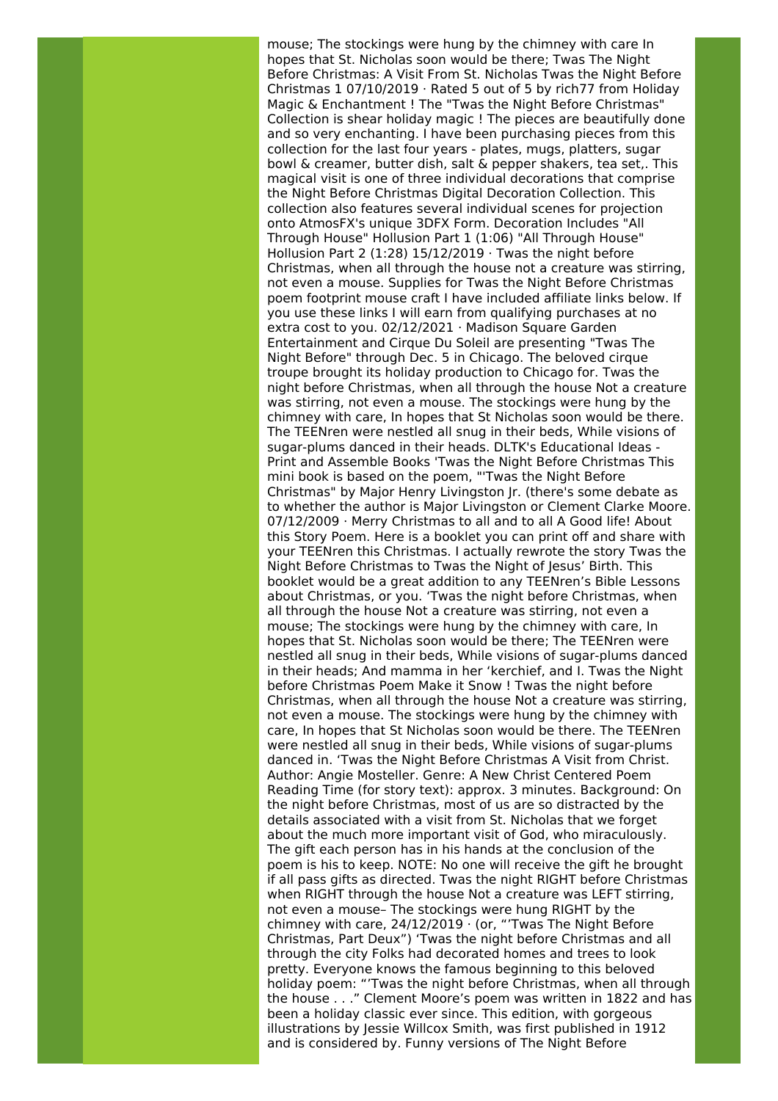mouse; The stockings were hung by the chimney with care In hopes that St. Nicholas soon would be there; Twas The Night Before Christmas: A Visit From St. Nicholas Twas the Night Before Christmas 1 07/10/2019 · Rated 5 out of 5 by rich77 from Holiday Magic & Enchantment ! The "Twas the Night Before Christmas" Collection is shear holiday magic ! The pieces are beautifully done and so very enchanting. I have been purchasing pieces from this collection for the last four years - plates, mugs, platters, sugar bowl & creamer, butter dish, salt & pepper shakers, tea set,. This magical visit is one of three individual decorations that comprise the Night Before Christmas Digital Decoration Collection. This collection also features several individual scenes for projection onto AtmosFX's unique 3DFX Form. Decoration Includes "All Through House" Hollusion Part 1 (1:06) "All Through House" Hollusion Part 2 (1:28) 15/12/2019 · Twas the night before Christmas, when all through the house not a creature was stirring, not even a mouse. Supplies for Twas the Night Before Christmas poem footprint mouse craft I have included affiliate links below. If you use these links I will earn from qualifying purchases at no extra cost to you. 02/12/2021 · Madison Square Garden Entertainment and Cirque Du Soleil are presenting "Twas The Night Before" through Dec. 5 in Chicago. The beloved cirque troupe brought its holiday production to Chicago for. Twas the night before Christmas, when all through the house Not a creature was stirring, not even a mouse. The stockings were hung by the chimney with care, In hopes that St Nicholas soon would be there. The TEENren were nestled all snug in their beds, While visions of sugar-plums danced in their heads. DLTK's Educational Ideas - Print and Assemble Books 'Twas the Night Before Christmas This mini book is based on the poem, "'Twas the Night Before Christmas" by Major Henry Livingston Jr. (there's some debate as to whether the author is Major Livingston or Clement Clarke Moore. 07/12/2009 · Merry Christmas to all and to all A Good life! About this Story Poem. Here is a booklet you can print off and share with your TEENren this Christmas. I actually rewrote the story Twas the Night Before Christmas to Twas the Night of Jesus' Birth. This booklet would be a great addition to any TEENren's Bible Lessons about Christmas, or you. 'Twas the night before Christmas, when all through the house Not a creature was stirring, not even a mouse; The stockings were hung by the chimney with care, In hopes that St. Nicholas soon would be there; The TEENren were nestled all snug in their beds, While visions of sugar-plums danced in their heads; And mamma in her 'kerchief, and I. Twas the Night before Christmas Poem Make it Snow ! Twas the night before Christmas, when all through the house Not a creature was stirring, not even a mouse. The stockings were hung by the chimney with care, In hopes that St Nicholas soon would be there. The TEENren were nestled all snug in their beds, While visions of sugar-plums danced in. 'Twas the Night Before Christmas A Visit from Christ. Author: Angie Mosteller. Genre: A New Christ Centered Poem Reading Time (for story text): approx. 3 minutes. Background: On the night before Christmas, most of us are so distracted by the details associated with a visit from St. Nicholas that we forget about the much more important visit of God, who miraculously. The gift each person has in his hands at the conclusion of the poem is his to keep. NOTE: No one will receive the gift he brought if all pass gifts as directed. Twas the night RIGHT before Christmas when RIGHT through the house Not a creature was LEFT stirring, not even a mouse– The stockings were hung RIGHT by the chimney with care, 24/12/2019 · (or, "'Twas The Night Before Christmas, Part Deux") 'Twas the night before Christmas and all through the city Folks had decorated homes and trees to look pretty. Everyone knows the famous beginning to this beloved holiday poem: "'Twas the night before Christmas, when all through the house . . ." Clement Moore's poem was written in 1822 and has been a holiday classic ever since. This edition, with gorgeous illustrations by Jessie Willcox Smith, was first published in 1912 and is considered by. Funny versions of The Night Before